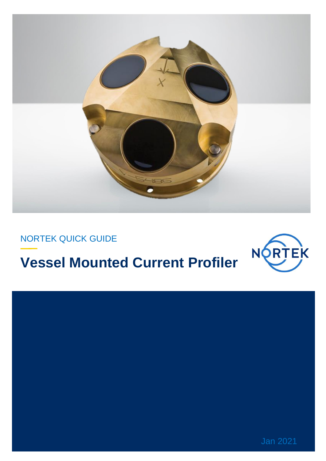

NORTEK QUICK GUIDE

# **Vessel Mounted Current Profiler**



Jan 2021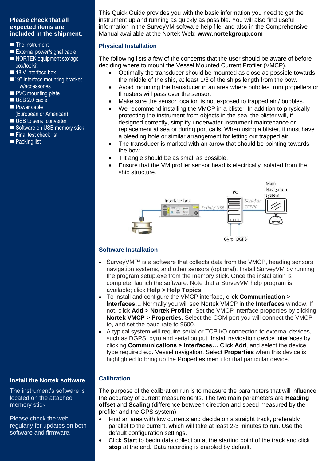# **Please check that all expected items are included in the shipment:**

- The instrument
- External power/signal cable
- NORTEK equipment storage box/toolkit
- 18 V Interface box
- ■19" Interface mounting bracket w/accessories
- PVC mounting plate
- USB 2.0 cable
- Power cable (European or American)
- USB to serial converter
- Software on USB memory stick
- Final test check list
- Packing list

This Quick Guide provides you with the basic information you need to get the instrument up and running as quickly as possible. You will also find useful information in the SurveyVM software help file, and also in the Comprehensive Manual available at the Nortek Web: **[www.nortekgroup.com](http://www.nortekgroup.com/)**

#### **Physical Installation**

The following lists a few of the concerns that the user should be aware of before deciding where to mount the Vessel Mounted Current Profiler (VMCP).

- Optimally the transducer should be mounted as close as possible towards the middle of the ship, at least 1/3 of the ships length from the bow.
- Avoid mounting the transducer in an area where bubbles from propellers or thrusters will pass over the sensor.
- Make sure the sensor location is not exposed to trapped air / bubbles.
- We recommend installing the VMCP in a blister. In addition to physically protecting the instrument from objects in the sea, the blister will, if designed correctly, simplify underwater instrument maintenance or replacement at sea or during port calls. When using a blister, it must have a bleeding hole or similar arrangement for letting out trapped air.
- The transducer is marked with an arrow that should be pointing towards the bow.
- Tilt angle should be as small as possible.
- Ensure that the VM profiler sensor head is electrically isolated from the ship structure.



#### **Software Installation**

- SurveyVM™ is a software that collects data from the VMCP, heading sensors, navigation systems, and other sensors (optional). Install SurveyVM by running the program setup.exe from the memory stick. Once the installation is complete, launch the software. Note that a SurveyVM help program is available; click **Help > Help Topics**.
- To install and configure the VMCP interface, click **Communication** > **Interfaces…** Normally you will see Nortek VMCP in the **Interfaces** window. If not, click **Add** > **Nortek Profiler**. Set the VMCP interface properties by clicking **Nortek VMCP** > **Properties**. Select the COM port you will connect the VMCP to, and set the baud rate to 9600.
- A typical system will require serial or TCP I/O connection to external devices, such as DGPS, gyro and serial output. Install navigation device interfaces by clicking **Communications > Interfaces…** Click **Add**, and select the device type required e.g. Vessel navigation. Select **Properties** when this device is highlighted to bring up the Properties menu for that particular device.

#### **Calibration**

The purpose of the calibration run is to measure the parameters that will influence the accuracy of current measurements. The two main parameters are **Heading offset** and **Scaling** (difference between direction and speed measured by the profiler and the GPS system).

- Find an area with low currents and decide on a straight track, preferably parallel to the current, which will take at least 2-3 minutes to run. Use the default configuration settings.
- Click **Start** to begin data collection at the starting point of the track and click **stop** at the end. Data recording is enabled by default.

#### **Install the Nortek software**

The instrument's software is located on the attached memory stick.

Please check the web regularly for updates on both software and firmware.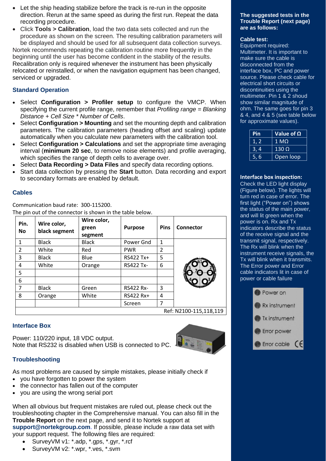- Let the ship heading stabilize before the track is re-run in the opposite direction. Rerun at the same speed as during the first run. Repeat the data recording procedure.
- Click **Tools > Calibration**, load the two data sets collected and run the procedure as shown on the screen. The resulting calibration parameters will be displayed and should be used for all subsequent data collection surveys. Nortek recommends repeating the calibration routine more frequently in the beginning until the user has become confident in the stability of the results. Recalibration only is required whenever the instrument has been physically relocated or reinstalled, or when the navigation equipment has been changed, serviced or upgraded.

# **Standard Operation**

- Select **Configuration > Profiler setup** to configure the VMCP. When specifying the current profile range, remember that *Profiling range = Blanking Distance + Cell Size \* Number of Cells*.
- Select **Configuration > Mounting** and set the mounting depth and calibration parameters. The calibration parameters (heading offset and scaling) update automatically when you calculate new parameters with the calibration tool.
- Select **Configuration > Calculations** and set the appropriate time averaging interval (**minimum 20 sec**, to remove noise elements) and profile averaging, which specifies the range of depth cells to average over.
- Select **Data Recording > Data Files** and specify data recording options.
- Start data collection by pressing the **Start** button. Data recording and export to secondary formats are enabled by default.

#### **Cables**

Communication baud rate: 300-115200. The pin out of the connector is shown in the table below.

| Pin.<br><b>No</b> | Wire color,<br>black segment | Wire color,<br>green<br>segment | <b>Purpose</b>   | <b>Pins</b> | Connector              |
|-------------------|------------------------------|---------------------------------|------------------|-------------|------------------------|
| $\mathbf{1}$      | <b>Black</b>                 | <b>Black</b>                    | Power Gnd        | 1           |                        |
| $\mathcal{P}$     | White                        | Red                             | <b>PWR</b>       | 2           |                        |
| 3                 | <b>Black</b>                 | Blue                            | RS422 Tx+        | 5           |                        |
| 4                 | White                        | Orange                          | <b>RS422 Tx-</b> | 6           |                        |
| 5                 |                              |                                 |                  |             |                        |
| 6                 |                              |                                 |                  |             |                        |
| 7                 | <b>Black</b>                 | Green                           | <b>RS422 Rx-</b> | 3           |                        |
| 8                 | Orange                       | White                           | RS422 Rx+        | 4           |                        |
|                   |                              |                                 | Screen           | 7           |                        |
|                   |                              |                                 |                  |             | Ref: N2100-115,118,119 |

# **Interface Box**

Power: 110/220 input, 18 VDC output. Note that RS232 is disabled when USB is connected to PC.



# **Troubleshooting**

As most problems are caused by simple mistakes, please initially check if

- you have forgotten to power the system
- the connector has fallen out of the computer
- you are using the wrong serial port

When all obvious but frequent mistakes are ruled out, please check out the troubleshooting chapter in the Comprehensive manual. You can also fill in the **Trouble Report** on the next page, and send it to Nortek support at **support@nortekgroup.com**. If possible, please include a raw data set with your support request. The following files are required:

- SurveyVM v1: \*.adp, \*.gps, \*.gyr, \*.rcf
- SurveyVM v2: \*.wpr, \*.ves, \*.svm

#### **The suggested tests in the Trouble Report (next page) are as follows:**

#### **Cable test:**

Equipment required: Multimeter. It is important to make sure the cable is disconnected from the interface box, PC and power source. Please check cable for electrical short circuits or discontinuities using the multimeter. Pin 1 & 2 shoud show similar magnitude of ohm. The same goes for pin 3 & 4, and 4 & 5 (see table below for approximate values).

| Pin  | Value of $\Omega$ |  |  |
|------|-------------------|--|--|
| 1, 2 | 1 MO              |  |  |
| 3.4  | $130\Omega$       |  |  |
| 5,6  | Open loop         |  |  |

#### **Interface box inspection:**

Check the LED light display (Figure below). The lights will turn red in case of error. The first light ("Power on") shows the status of the main power, and will lit green when the power is on. Rx and Tx indicators describe the status of the receive signal and the transmit signal, respectively. The Rx will blink when the instrument receive signals, the Tx will blink when it transmits. The Error power and Error cable indicators lit in case of power or cable failure